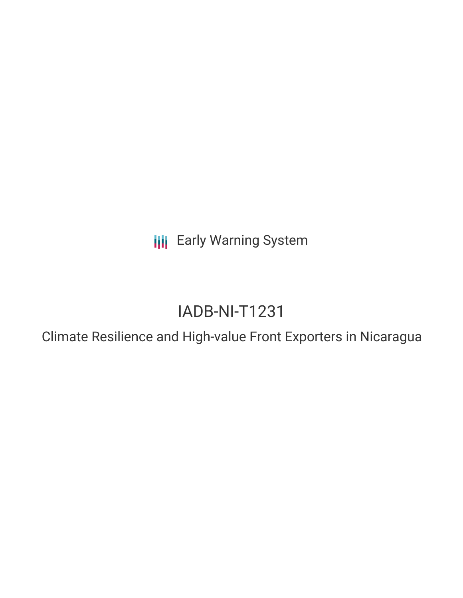**III** Early Warning System

# IADB-NI-T1231

Climate Resilience and High-value Front Exporters in Nicaragua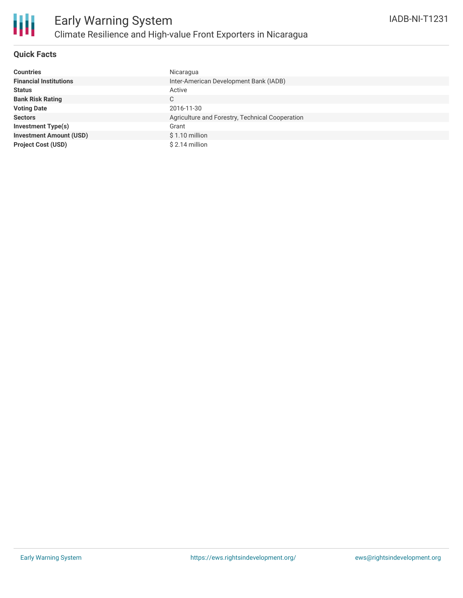

#### **Quick Facts**

| <b>Countries</b>               | Nicaragua                                       |
|--------------------------------|-------------------------------------------------|
| <b>Financial Institutions</b>  | Inter-American Development Bank (IADB)          |
| <b>Status</b>                  | Active                                          |
| <b>Bank Risk Rating</b>        | C.                                              |
| <b>Voting Date</b>             | 2016-11-30                                      |
| <b>Sectors</b>                 | Agriculture and Forestry, Technical Cooperation |
| <b>Investment Type(s)</b>      | Grant                                           |
| <b>Investment Amount (USD)</b> | $$1.10$ million                                 |
| <b>Project Cost (USD)</b>      | $$2.14$ million                                 |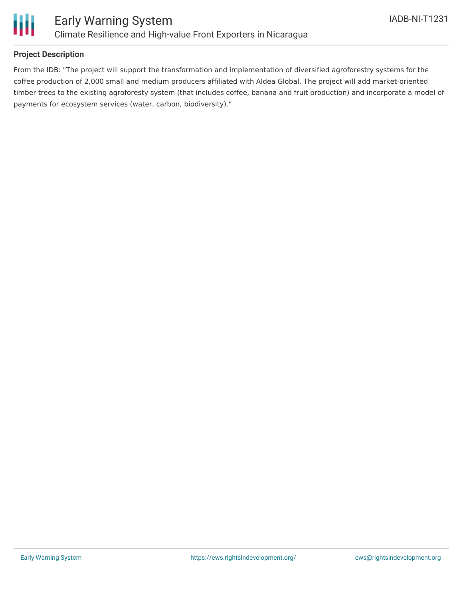

#### **Project Description**

From the IDB: "The project will support the transformation and implementation of diversified agroforestry systems for the coffee production of 2,000 small and medium producers affiliated with Aldea Global. The project will add market-oriented timber trees to the existing agroforesty system (that includes coffee, banana and fruit production) and incorporate a model of payments for ecosystem services (water, carbon, biodiversity)."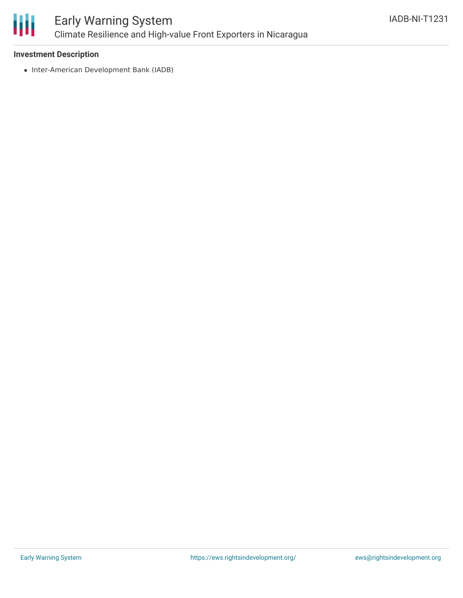

### Early Warning System Climate Resilience and High-value Front Exporters in Nicaragua

#### **Investment Description**

• Inter-American Development Bank (IADB)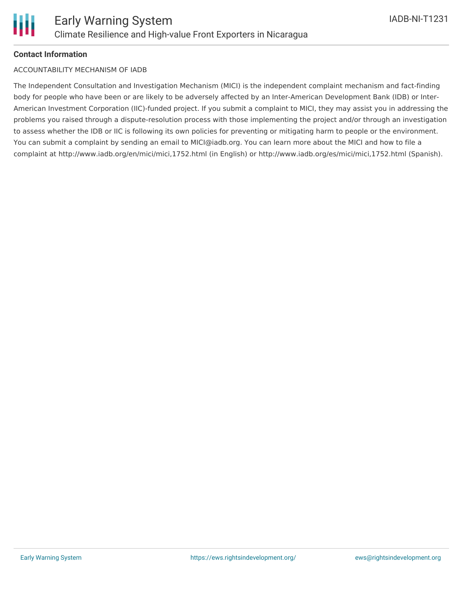#### **Contact Information**

#### ACCOUNTABILITY MECHANISM OF IADB

The Independent Consultation and Investigation Mechanism (MICI) is the independent complaint mechanism and fact-finding body for people who have been or are likely to be adversely affected by an Inter-American Development Bank (IDB) or Inter-American Investment Corporation (IIC)-funded project. If you submit a complaint to MICI, they may assist you in addressing the problems you raised through a dispute-resolution process with those implementing the project and/or through an investigation to assess whether the IDB or IIC is following its own policies for preventing or mitigating harm to people or the environment. You can submit a complaint by sending an email to MICI@iadb.org. You can learn more about the MICI and how to file a complaint at http://www.iadb.org/en/mici/mici,1752.html (in English) or http://www.iadb.org/es/mici/mici,1752.html (Spanish).